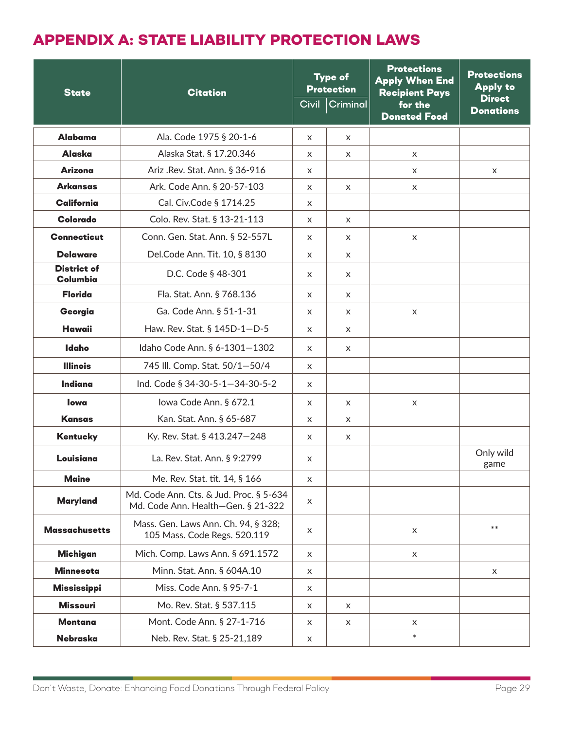## APPENDIX A: STATE LIABILITY PROTECTION LAWS

| <b>State</b>                   | <b>Citation</b>                                                               | <b>Type of</b><br><b>Protection</b> |                | <b>Protections</b><br><b>Apply When End</b><br><b>Recipient Pays</b> | <b>Protections</b><br><b>Apply to</b> |
|--------------------------------|-------------------------------------------------------------------------------|-------------------------------------|----------------|----------------------------------------------------------------------|---------------------------------------|
|                                |                                                                               |                                     | Civil Criminal | for the<br><b>Donated Food</b>                                       | <b>Direct</b><br><b>Donations</b>     |
| Alabama                        | Ala. Code 1975 § 20-1-6                                                       | X                                   | X              |                                                                      |                                       |
| <b>Alaska</b>                  | Alaska Stat. § 17.20.346                                                      | X                                   | X              | X                                                                    |                                       |
| <b>Arizona</b>                 | Ariz .Rev. Stat. Ann. § 36-916                                                | X                                   |                | X                                                                    | X                                     |
| <b>Arkansas</b>                | Ark. Code Ann. § 20-57-103                                                    | X                                   | X              | X                                                                    |                                       |
| <b>California</b>              | Cal. Civ.Code § 1714.25                                                       | X                                   |                |                                                                      |                                       |
| Colorado                       | Colo. Rev. Stat. § 13-21-113                                                  | $\times$                            | $\times$       |                                                                      |                                       |
| <b>Connecticut</b>             | Conn. Gen. Stat. Ann. § 52-557L                                               | $\times$                            | $\times$       | $\times$                                                             |                                       |
| <b>Delaware</b>                | Del.Code Ann. Tit. 10, § 8130                                                 | X                                   | X              |                                                                      |                                       |
| <b>District of</b><br>Columbia | D.C. Code § 48-301                                                            | X                                   | X              |                                                                      |                                       |
| <b>Florida</b>                 | Fla. Stat. Ann. § 768.136                                                     | X                                   | $\times$       |                                                                      |                                       |
| Georgia                        | Ga. Code Ann. § 51-1-31                                                       | $\mathsf{x}$                        | $\times$       | X                                                                    |                                       |
| <b>Hawaii</b>                  | Haw. Rev. Stat. § 145D-1-D-5                                                  | X                                   | X              |                                                                      |                                       |
| <b>Idaho</b>                   | Idaho Code Ann. § 6-1301-1302                                                 | $\times$                            | $\times$       |                                                                      |                                       |
| <b>Illinois</b>                | 745 III. Comp. Stat. 50/1-50/4                                                | $\times$                            |                |                                                                      |                                       |
| Indiana                        | Ind. Code § 34-30-5-1-34-30-5-2                                               | $\times$                            |                |                                                                      |                                       |
| lowa                           | lowa Code Ann. § 672.1                                                        | X                                   | X              | $\times$                                                             |                                       |
| <b>Kansas</b>                  | Kan. Stat. Ann. § 65-687                                                      | x                                   | X              |                                                                      |                                       |
| Kentucky                       | Ky. Rev. Stat. § 413.247-248                                                  | X                                   | X              |                                                                      |                                       |
| Louisiana                      | La. Rev. Stat. Ann. § 9:2799                                                  | X                                   |                |                                                                      | Only wild<br>game                     |
| <b>Maine</b>                   | Me. Rev. Stat. tit. 14, § 166                                                 | X                                   |                |                                                                      |                                       |
| <b>Maryland</b>                | Md. Code Ann. Cts. & Jud. Proc. § 5-634<br>Md. Code Ann. Health-Gen. § 21-322 | X                                   |                |                                                                      |                                       |
| <b>Massachusetts</b>           | Mass. Gen. Laws Ann. Ch. 94, § 328;<br>105 Mass. Code Regs. 520.119           | X                                   |                | $\times$                                                             | $***$                                 |
| <b>Michigan</b>                | Mich. Comp. Laws Ann. § 691.1572                                              | $\times$                            |                | $\times$                                                             |                                       |
| <b>Minnesota</b>               | Minn. Stat. Ann. § 604A.10                                                    | X                                   |                |                                                                      | X                                     |
| <b>Mississippi</b>             | Miss. Code Ann. § 95-7-1                                                      | X                                   |                |                                                                      |                                       |
| <b>Missouri</b>                | Mo. Rev. Stat. § 537.115                                                      | X                                   | X              |                                                                      |                                       |
| <b>Montana</b>                 | Mont. Code Ann. § 27-1-716                                                    | X                                   | X              | X                                                                    |                                       |
| Nebraska                       | Neb. Rev. Stat. § 25-21,189                                                   | X                                   |                | $\ast$                                                               |                                       |